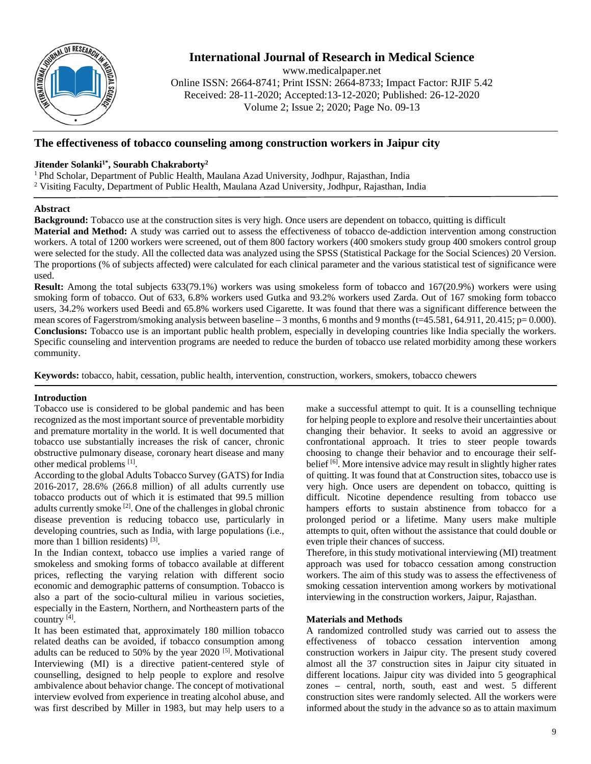

# **International Journal of Research in Medical Science**

www.medicalpaper.net Online ISSN: 2664-8741; Print ISSN: 2664-8733; Impact Factor: RJIF 5.42 Received: 28-11-2020; Accepted:13-12-2020; Published: 26-12-2020 Volume 2; Issue 2; 2020; Page No. 09-13

# **The effectiveness of tobacco counseling among construction workers in Jaipur city**

# **Jitender Solanki1\* , Sourabh Chakraborty2**

1 Phd Scholar, Department of Public Health, Maulana Azad University, Jodhpur, Rajasthan, India <sup>2</sup> Visiting Faculty, Department of Public Health, Maulana Azad University, Jodhpur, Rajasthan, India

### **Abstract**

**Background:** Tobacco use at the construction sites is very high. Once users are dependent on tobacco, quitting is difficult **Material and Method:** A study was carried out to assess the effectiveness of tobacco de-addiction intervention among construction workers. A total of 1200 workers were screened, out of them 800 factory workers (400 smokers study group 400 smokers control group were selected for the study. All the collected data was analyzed using the SPSS (Statistical Package for the Social Sciences) 20 Version. The proportions (% of subjects affected) were calculated for each clinical parameter and the various statistical test of significance were used.

**Result:** Among the total subjects 633(79.1%) workers was using smokeless form of tobacco and 167(20.9%) workers were using smoking form of tobacco. Out of 633, 6.8% workers used Gutka and 93.2% workers used Zarda. Out of 167 smoking form tobacco users, 34.2% workers used Beedi and 65.8% workers used Cigarette. It was found that there was a significant difference between the mean scores of Fagerstrom/smoking analysis between baseline – 3 months, 6 months and 9 months (t=45.581, 64.911, 20.415; p= 0.000). **Conclusions:** Tobacco use is an important public health problem, especially in developing countries like India specially the workers. Specific counseling and intervention programs are needed to reduce the burden of tobacco use related morbidity among these workers community.

**Keywords:** tobacco, habit, cessation, public health, intervention, construction, workers, smokers, tobacco chewers

### **Introduction**

Tobacco use is considered to be global pandemic and has been recognized as the most important source of preventable morbidity and premature mortality in the world. It is well documented that tobacco use substantially increases the risk of cancer, chronic obstructive pulmonary disease, coronary heart disease and many other medical problems [1].

According to the global Adults Tobacco Survey (GATS) for India 2016-2017, 28.6% (266.8 million) of all adults currently use tobacco products out of which it is estimated that 99.5 million adults currently smoke [2]. One of the challenges in global chronic disease prevention is reducing tobacco use, particularly in developing countries, such as India, with large populations (i.e., more than 1 billion residents) [3].

In the Indian context, tobacco use implies a varied range of smokeless and smoking forms of tobacco available at different prices, reflecting the varying relation with different socio economic and demographic patterns of consumption. Tobacco is also a part of the socio-cultural milieu in various societies, especially in the Eastern, Northern, and Northeastern parts of the country [4].

It has been estimated that, approximately 180 million tobacco related deaths can be avoided, if tobacco consumption among adults can be reduced to 50% by the year  $2020$  [5]. Motivational Interviewing (MI) is a directive patient-centered style of counselling, designed to help people to explore and resolve ambivalence about behavior change. The concept of motivational interview evolved from experience in treating alcohol abuse, and was first described by Miller in 1983, but may help users to a

make a successful attempt to quit. It is a counselling technique for helping people to explore and resolve their uncertainties about changing their behavior. It seeks to avoid an aggressive or confrontational approach. It tries to steer people towards choosing to change their behavior and to encourage their selfbelief [6]. More intensive advice may result in slightly higher rates of quitting. It was found that at Construction sites, tobacco use is very high. Once users are dependent on tobacco, quitting is difficult. Nicotine dependence resulting from tobacco use hampers efforts to sustain abstinence from tobacco for a prolonged period or a lifetime. Many users make multiple attempts to quit, often without the assistance that could double or even triple their chances of success.

Therefore, in this study motivational interviewing (MI) treatment approach was used for tobacco cessation among construction workers. The aim of this study was to assess the effectiveness of smoking cessation intervention among workers by motivational interviewing in the construction workers, Jaipur, Rajasthan.

#### **Materials and Methods**

A randomized controlled study was carried out to assess the effectiveness of tobacco cessation intervention among construction workers in Jaipur city. The present study covered almost all the 37 construction sites in Jaipur city situated in different locations. Jaipur city was divided into 5 geographical zones – central, north, south, east and west. 5 different construction sites were randomly selected. All the workers were informed about the study in the advance so as to attain maximum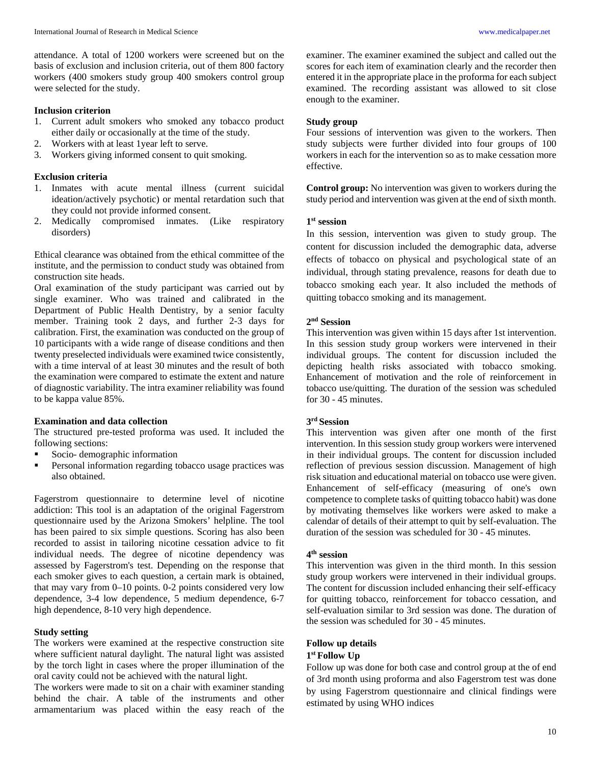attendance. A total of 1200 workers were screened but on the basis of exclusion and inclusion criteria, out of them 800 factory workers (400 smokers study group 400 smokers control group were selected for the study.

#### **Inclusion criterion**

- 1. Current adult smokers who smoked any tobacco product either daily or occasionally at the time of the study.
- 2. Workers with at least 1year left to serve.
- 3. Workers giving informed consent to quit smoking.

# **Exclusion criteria**

- 1. Inmates with acute mental illness (current suicidal ideation/actively psychotic) or mental retardation such that they could not provide informed consent.
- 2. Medically compromised inmates. (Like respiratory disorders)

Ethical clearance was obtained from the ethical committee of the institute, and the permission to conduct study was obtained from construction site heads.

Oral examination of the study participant was carried out by single examiner. Who was trained and calibrated in the Department of Public Health Dentistry, by a senior faculty member. Training took 2 days, and further 2-3 days for calibration. First, the examination was conducted on the group of 10 participants with a wide range of disease conditions and then twenty preselected individuals were examined twice consistently, with a time interval of at least 30 minutes and the result of both the examination were compared to estimate the extent and nature of diagnostic variability. The intra examiner reliability was found to be kappa value 85%.

# **Examination and data collection**

The structured pre-tested proforma was used. It included the following sections:

- Socio- demographic information
- Personal information regarding tobacco usage practices was also obtained.

Fagerstrom questionnaire to determine level of nicotine addiction: This tool is an adaptation of the original Fagerstrom questionnaire used by the Arizona Smokers' helpline. The tool has been paired to six simple questions. Scoring has also been recorded to assist in tailoring nicotine cessation advice to fit individual needs. The degree of nicotine dependency was assessed by Fagerstrom's test. Depending on the response that each smoker gives to each question, a certain mark is obtained, that may vary from 0–10 points. 0-2 points considered very low dependence, 3-4 low dependence, 5 medium dependence, 6-7 high dependence, 8-10 very high dependence.

# **Study setting**

The workers were examined at the respective construction site where sufficient natural daylight. The natural light was assisted by the torch light in cases where the proper illumination of the oral cavity could not be achieved with the natural light.

The workers were made to sit on a chair with examiner standing behind the chair. A table of the instruments and other armamentarium was placed within the easy reach of the examiner. The examiner examined the subject and called out the scores for each item of examination clearly and the recorder then entered it in the appropriate place in the proforma for each subject examined. The recording assistant was allowed to sit close enough to the examiner.

### **Study group**

Four sessions of intervention was given to the workers. Then study subjects were further divided into four groups of 100 workers in each for the intervention so as to make cessation more effective.

**Control group:** No intervention was given to workers during the study period and intervention was given at the end of sixth month.

# **1st session**

In this session, intervention was given to study group. The content for discussion included the demographic data, adverse effects of tobacco on physical and psychological state of an individual, through stating prevalence, reasons for death due to tobacco smoking each year. It also included the methods of quitting tobacco smoking and its management.

#### **2nd Session**

This intervention was given within 15 days after 1st intervention. In this session study group workers were intervened in their individual groups. The content for discussion included the depicting health risks associated with tobacco smoking. Enhancement of motivation and the role of reinforcement in tobacco use/quitting. The duration of the session was scheduled for 30 - 45 minutes.

#### **3rd Session**

This intervention was given after one month of the first intervention. In this session study group workers were intervened in their individual groups. The content for discussion included reflection of previous session discussion. Management of high risk situation and educational material on tobacco use were given. Enhancement of self-efficacy (measuring of one's own competence to complete tasks of quitting tobacco habit) was done by motivating themselves like workers were asked to make a calendar of details of their attempt to quit by self-evaluation. The duration of the session was scheduled for 30 - 45 minutes.

# **4th session**

This intervention was given in the third month. In this session study group workers were intervened in their individual groups. The content for discussion included enhancing their self-efficacy for quitting tobacco, reinforcement for tobacco cessation, and self-evaluation similar to 3rd session was done. The duration of the session was scheduled for 30 - 45 minutes.

#### **Follow up details 1st Follow Up**

Follow up was done for both case and control group at the of end of 3rd month using proforma and also Fagerstrom test was done by using Fagerstrom questionnaire and clinical findings were estimated by using WHO indices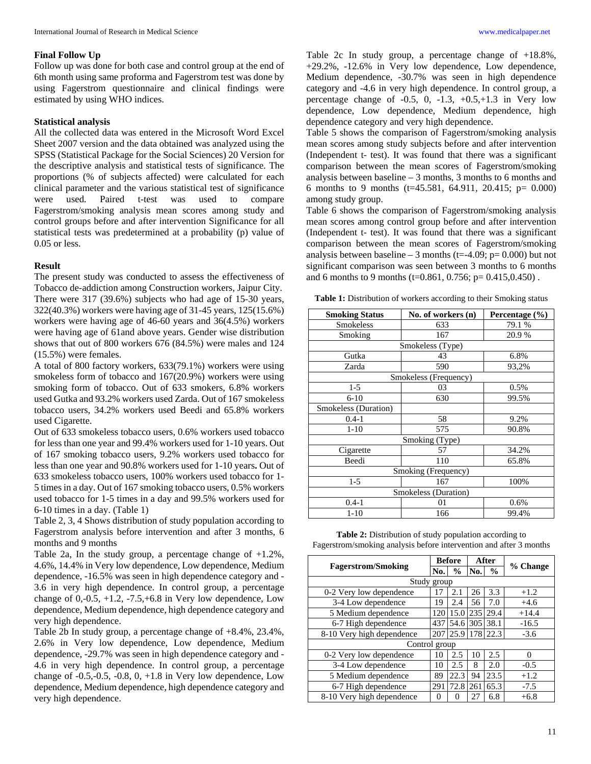#### **Final Follow Up**

Follow up was done for both case and control group at the end of 6th month using same proforma and Fagerstrom test was done by using Fagerstrom questionnaire and clinical findings were estimated by using WHO indices.

#### **Statistical analysis**

All the collected data was entered in the Microsoft Word Excel Sheet 2007 version and the data obtained was analyzed using the SPSS (Statistical Package for the Social Sciences) 20 Version for the descriptive analysis and statistical tests of significance. The proportions (% of subjects affected) were calculated for each clinical parameter and the various statistical test of significance were used. Paired t-test was used to compare Fagerstrom/smoking analysis mean scores among study and control groups before and after intervention Significance for all statistical tests was predetermined at a probability (p) value of 0.05 or less.

#### **Result**

The present study was conducted to assess the effectiveness of Tobacco de-addiction among Construction workers, Jaipur City. There were 317 (39.6%) subjects who had age of 15-30 years, 322(40.3%) workers were having age of 31-45 years, 125(15.6%) workers were having age of 46-60 years and 36(4.5%) workers were having age of 61and above years. Gender wise distribution shows that out of 800 workers 676 (84.5%) were males and 124 (15.5%) were females.

A total of 800 factory workers, 633(79.1%) workers were using smokeless form of tobacco and 167(20.9%) workers were using smoking form of tobacco. Out of 633 smokers, 6.8% workers used Gutka and 93.2% workers used Zarda. Out of 167 smokeless tobacco users, 34.2% workers used Beedi and 65.8% workers used Cigarette.

Out of 633 smokeless tobacco users, 0.6% workers used tobacco for less than one year and 99.4% workers used for 1-10 years. Out of 167 smoking tobacco users, 9.2% workers used tobacco for less than one year and 90.8% workers used for 1-10 years**.** Out of 633 smokeless tobacco users, 100% workers used tobacco for 1- 5 times in a day. Out of 167 smoking tobacco users, 0.5% workers used tobacco for 1-5 times in a day and 99.5% workers used for 6-10 times in a day. (Table 1)

Table 2, 3, 4 Shows distribution of study population according to Fagerstrom analysis before intervention and after 3 months, 6 months and 9 months

Table 2a, In the study group, a percentage change of +1.2%, 4.6%, 14.4% in Very low dependence, Low dependence, Medium dependence, -16.5% was seen in high dependence category and - 3.6 in very high dependence. In control group, a percentage change of  $0, -0.5, +1.2, -7.5, +6.8$  in Very low dependence, Low dependence, Medium dependence, high dependence category and very high dependence.

Table 2b In study group, a percentage change of +8.4%, 23.4%, 2.6% in Very low dependence, Low dependence, Medium dependence, -29.7% was seen in high dependence category and - 4.6 in very high dependence. In control group, a percentage change of  $-0.5, -0.5, -0.8, 0, +1.8$  in Very low dependence, Low dependence, Medium dependence, high dependence category and very high dependence.

Table 2c In study group, a percentage change of +18.8%, +29.2%, -12.6% in Very low dependence, Low dependence, Medium dependence, -30.7% was seen in high dependence category and -4.6 in very high dependence. In control group, a percentage change of  $-0.5$ , 0,  $-1.3$ ,  $+0.5$ ,  $+1.3$  in Very low dependence, Low dependence, Medium dependence, high dependence category and very high dependence.

Table 5 shows the comparison of Fagerstrom/smoking analysis mean scores among study subjects before and after intervention (Independent t- test). It was found that there was a significant comparison between the mean scores of Fagerstrom/smoking analysis between baseline – 3 months, 3 months to 6 months and 6 months to 9 months (t=45.581, 64.911, 20.415; p= 0.000) among study group.

Table 6 shows the comparison of Fagerstrom/smoking analysis mean scores among control group before and after intervention (Independent t- test). It was found that there was a significant comparison between the mean scores of Fagerstrom/smoking analysis between baseline – 3 months (t=-4.09;  $p= 0.000$ ) but not significant comparison was seen between 3 months to 6 months and 6 months to 9 months (t=0.861, 0.756; p= 0.415,0.450).

Table 1: Distribution of workers according to their Smoking status

| <b>Smoking Status</b> | No. of workers (n) | Percentage $(\% )$ |  |  |  |  |  |
|-----------------------|--------------------|--------------------|--|--|--|--|--|
| <b>Smokeless</b>      | 633                | 79.1 %             |  |  |  |  |  |
| Smoking               | 167                | 20.9%              |  |  |  |  |  |
| Smokeless (Type)      |                    |                    |  |  |  |  |  |
| Gutka                 | 43                 | 6.8%               |  |  |  |  |  |
| Zarda                 | 590                | 93,2%              |  |  |  |  |  |
| Smokeless (Frequency) |                    |                    |  |  |  |  |  |
| $1-5$                 | 03                 | 0.5%               |  |  |  |  |  |
| $6-10$                | 630                | 99.5%              |  |  |  |  |  |
| Smokeless (Duration)  |                    |                    |  |  |  |  |  |
| $0.4 - 1$             | 58                 | 9.2%               |  |  |  |  |  |
| $1 - 10$              | 575                | 90.8%              |  |  |  |  |  |
| Smoking (Type)        |                    |                    |  |  |  |  |  |
| Cigarette             | 57                 | 34.2%              |  |  |  |  |  |
| Beedi                 | 110                | 65.8%              |  |  |  |  |  |
| Smoking (Frequency)   |                    |                    |  |  |  |  |  |
| $1-5$                 | 167                | 100%               |  |  |  |  |  |
| Smokeless (Duration)  |                    |                    |  |  |  |  |  |
| $0.4 - 1$             | 01                 | 0.6%               |  |  |  |  |  |
| $1 - 10$              | 166                | 99.4%              |  |  |  |  |  |

Table 2: Distribution of study population according to Fagerstrom/smoking analysis before intervention and after 3 months

| <b>Fagerstrom/Smoking</b> |               | <b>Before</b> |     | After         |          |  |  |
|---------------------------|---------------|---------------|-----|---------------|----------|--|--|
|                           |               | $\frac{6}{9}$ | No. | $\frac{0}{0}$ | % Change |  |  |
| Study group               |               |               |     |               |          |  |  |
| 0-2 Very low dependence   | 17            | 2.1           | 26  | 3.3           | $+1.2$   |  |  |
| 3-4 Low dependence        |               | 2.4           | 56  | 7.0           | $+4.6$   |  |  |
| 5 Medium dependence       |               | 15.0          | 235 | 29.4          | $+14.4$  |  |  |
| 6-7 High dependence       |               | 54.6          | 305 | 38.1          | $-16.5$  |  |  |
| 8-10 Very high dependence |               | 207 25.9 178  |     | 22.3          | $-3.6$   |  |  |
|                           | Control group |               |     |               |          |  |  |
| 0-2 Very low dependence   | 10            | 2.5           | 10  | 2.5           | $\Omega$ |  |  |
| 3-4 Low dependence        | 10            | 2.5           | 8   | 2.0           | $-0.5$   |  |  |
| 5 Medium dependence       | 89            | 22.3          | 94  | 23.5          | $+1.2$   |  |  |
| 6-7 High dependence       | 291           | 72.8          | 261 | 65.3          | $-7.5$   |  |  |
| 8-10 Very high dependence | 0             | 0             | 27  | 6.8           | $+6.8$   |  |  |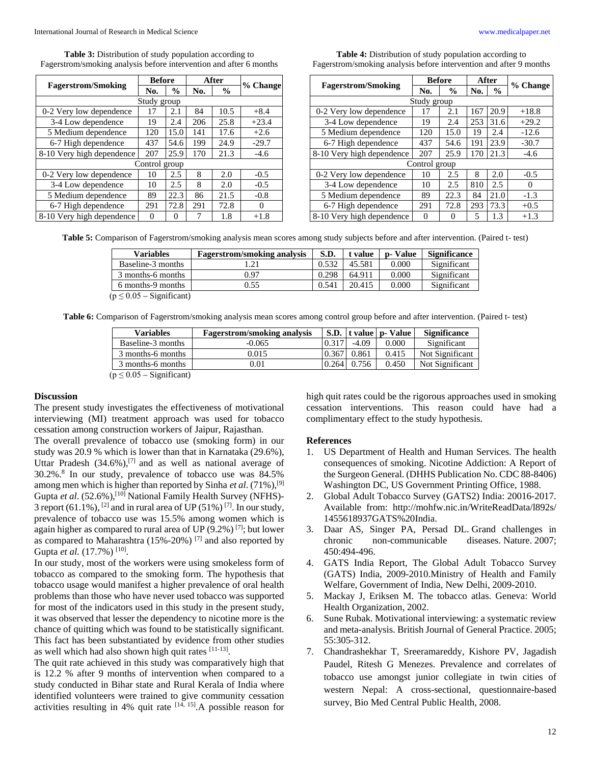Table 3: Distribution of study population according to Fagerstrom/smoking analysis before intervention and after 6 months

|                           | <b>Before</b> |               | After |               |          |  |  |  |
|---------------------------|---------------|---------------|-------|---------------|----------|--|--|--|
| <b>Fagerstrom/Smoking</b> | No.           | $\frac{0}{0}$ | No.   | $\frac{6}{9}$ | % Change |  |  |  |
| Study group               |               |               |       |               |          |  |  |  |
| 0-2 Very low dependence   | 17            | 2.1           | 84    | 10.5          | $+8.4$   |  |  |  |
| 3-4 Low dependence        | 19            | 2.4           | 206   | 25.8          | $+23.4$  |  |  |  |
| 5 Medium dependence       | 120           | 15.0          | 141   | 17.6          | $+2.6$   |  |  |  |
| 6-7 High dependence       | 437           | 54.6          | 199   | 24.9          | $-29.7$  |  |  |  |
| 8-10 Very high dependence | 207           | 25.9          | 170   | 21.3          | $-4.6$   |  |  |  |
| Control group             |               |               |       |               |          |  |  |  |
| 0-2 Very low dependence   | 10            | 2.5           | 8     | 2.0           | $-0.5$   |  |  |  |
| 3-4 Low dependence        | 10            | 2.5           | 8     | 2.0           | $-0.5$   |  |  |  |
| 5 Medium dependence       | 89            | 22.3          | 86    | 21.5          | $-0.8$   |  |  |  |
| 6-7 High dependence       | 291           | 72.8          | 291   | 72.8          | $\Omega$ |  |  |  |
| 8-10 Very high dependence | $\Omega$      | 0             | 7     | 1.8           | $+1.8$   |  |  |  |

**Table 4:** Distribution of study population according to Fagerstrom/smoking analysis before intervention and after 9 months

|                           | <b>Before</b> |               | After |               |          |  |  |
|---------------------------|---------------|---------------|-------|---------------|----------|--|--|
| <b>Fagerstrom/Smoking</b> | No.           | $\frac{0}{0}$ | No.   | $\frac{0}{0}$ | % Change |  |  |
| Study group               |               |               |       |               |          |  |  |
| 0-2 Very low dependence   | 17            | 2.1           | 167   | 20.9          | $+18.8$  |  |  |
| 3-4 Low dependence        | 19            | 2.4           | 253   | 31.6          | $+29.2$  |  |  |
| 5 Medium dependence       | 120           | 15.0          | 19    | 2.4           | $-12.6$  |  |  |
| 6-7 High dependence       | 437           | 54.6          | 191   | 23.9          | $-30.7$  |  |  |
| 8-10 Very high dependence | 207           | 25.9          | 170   | 21.3          | $-4.6$   |  |  |
| Control group             |               |               |       |               |          |  |  |
| 0-2 Very low dependence   | 10            | 2.5           | 8     | 2.0           | $-0.5$   |  |  |
| 3-4 Low dependence        | 10            | 2.5           | 810   | 2.5           | 0        |  |  |
| 5 Medium dependence       | 89            | 22.3          | 84    | 21.0          | $-1.3$   |  |  |
| 6-7 High dependence       | 291           | 72.8          | 293   | 73.3          | $+0.5$   |  |  |
| 8-10 Very high dependence | 0             | $\theta$      | 5     | 1.3           | $+1.3$   |  |  |

**Table 5:** Comparison of Fagerstrom/smoking analysis mean scores among study subjects before and after intervention. (Paired t- test)

| <b>Variables</b>              | <b>Fagerstrom/smoking analysis</b> | S.D.  | t value | p-Value | <b>Significance</b> |
|-------------------------------|------------------------------------|-------|---------|---------|---------------------|
| Baseline-3 months             | 1.21                               | 0.532 | 45.581  | 0.000   | Significant         |
| 3 months-6 months             | 0.97                               | 0.298 | 64.911  | 0.000   | Significant         |
| 6 months-9 months             | 0.55                               | 0.541 | 20.415  | 0.000   | Significant         |
| $(p \leq 0.05 -$ Significant) |                                    |       |         |         |                     |

**Table 6:** Comparison of Fagerstrom/smoking analysis mean scores among control group before and after intervention. (Paired t- test)

| <b>Variables</b>              | <b>Fagerstrom/smoking analysis</b> |       |         | S.D.   t value   p- Value | <b>Significance</b> |
|-------------------------------|------------------------------------|-------|---------|---------------------------|---------------------|
| Baseline-3 months             | $-0.065$                           | 0.317 | $-4.09$ | 0.000                     | Significant         |
| 3 months-6 months             | 0.015                              | 0.367 | 0.861   | 0.415                     | Not Significant     |
| 3 months-6 months             | 0.01                               | 0.264 | 0.756   | 0.450                     | Not Significant     |
| $(p \leq 0.05 -$ Significant) |                                    |       |         |                           |                     |

#### **Discussion**

The present study investigates the effectiveness of motivational interviewing (MI) treatment approach was used for tobacco cessation among construction workers of Jaipur, Rajasthan.

The overall prevalence of tobacco use (smoking form) in our study was 20.9 % which is lower than that in Karnataka (29.6%), Uttar Pradesh  $(34.6\%)$ , <sup>[7]</sup> and as well as national average of 30.2%.8 In our study, prevalence of tobacco use was 84.5% among men which is higher than reported by Sinha *et al*. (71%),[9] Gupta *et al.* (52.6%),<sup>[10]</sup> National Family Health Survey (NFHS)-3 report (61.1%), <sup>[2]</sup> and in rural area of UP (51%)<sup>[7]</sup>. In our study, prevalence of tobacco use was 15.5% among women which is again higher as compared to rural area of UP  $(9.2\%)$  [7]; but lower as compared to Maharashtra (15%-20%) [7] and also reported by Gupta et al. (17.7%)<sup>[10]</sup>.

In our study, most of the workers were using smokeless form of tobacco as compared to the smoking form. The hypothesis that tobacco usage would manifest a higher prevalence of oral health problems than those who have never used tobacco was supported for most of the indicators used in this study in the present study, it was observed that lesser the dependency to nicotine more is the chance of quitting which was found to be statistically significant. This fact has been substantiated by evidence from other studies as well which had also shown high quit rates [11-13].

The quit rate achieved in this study was comparatively high that is 12.2 % after 9 months of intervention when compared to a study conducted in Bihar state and Rural Kerala of India where identified volunteers were trained to give community cessation activities resulting in 4% quit rate  $[14, 15]$ . A possible reason for high quit rates could be the rigorous approaches used in smoking cessation interventions. This reason could have had a complimentary effect to the study hypothesis.

#### **References**

- 1. US Department of Health and Human Services. The health consequences of smoking. Nicotine Addiction: A Report of the Surgeon General. (DHHS Publication No. CDC 88-8406) Washington DC, US Government Printing Office, 1988.
- 2. Global Adult Tobacco Survey (GATS2) India: 20016-2017. Available from: http://mohfw.nic.in/WriteReadData/l892s/ 1455618937GATS%20India.
- 3. Daar AS, Singer PA, Persad DL. Grand challenges in chronic non-communicable diseases. Nature. 2007; 450:494-496.
- 4. GATS India Report, The Global Adult Tobacco Survey (GATS) India, 2009-2010.Ministry of Health and Family Welfare, Government of India, New Delhi, 2009-2010.
- 5. Mackay J, Eriksen M. The tobacco atlas. Geneva: World Health Organization, 2002.
- 6. Sune Rubak*.* Motivational interviewing: a systematic review and meta-analysis. British Journal of General Practice. 2005; 55:305-312.
- 7. Chandrashekhar T, Sreeramareddy, Kishore PV, Jagadish Paudel, Ritesh G Menezes. Prevalence and correlates of tobacco use amongst junior collegiate in twin cities of western Nepal: A cross-sectional, questionnaire-based survey, Bio Med Central Public Health, 2008.